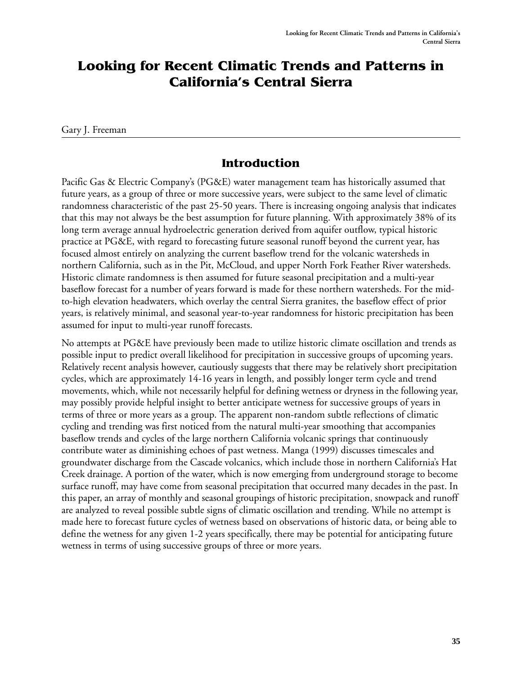# **Looking for Recent Climatic Trends and Patterns in California's Central Sierra**

Gary J. Freeman

#### **Introduction**

Pacific Gas & Electric Company's (PG&E) water management team has historically assumed that future years, as a group of three or more successive years, were subject to the same level of climatic randomness characteristic of the past 25-50 years. There is increasing ongoing analysis that indicates that this may not always be the best assumption for future planning. With approximately 38% of its long term average annual hydroelectric generation derived from aquifer outflow, typical historic practice at PG&E, with regard to forecasting future seasonal runoff beyond the current year, has focused almost entirely on analyzing the current baseflow trend for the volcanic watersheds in northern California, such as in the Pit, McCloud, and upper North Fork Feather River watersheds. Historic climate randomness is then assumed for future seasonal precipitation and a multi-year baseflow forecast for a number of years forward is made for these northern watersheds. For the midto-high elevation headwaters, which overlay the central Sierra granites, the baseflow effect of prior years, is relatively minimal, and seasonal year-to-year randomness for historic precipitation has been assumed for input to multi-year runoff forecasts.

No attempts at PG&E have previously been made to utilize historic climate oscillation and trends as possible input to predict overall likelihood for precipitation in successive groups of upcoming years. Relatively recent analysis however, cautiously suggests that there may be relatively short precipitation cycles, which are approximately 14-16 years in length, and possibly longer term cycle and trend movements, which, while not necessarily helpful for defining wetness or dryness in the following year, may possibly provide helpful insight to better anticipate wetness for successive groups of years in terms of three or more years as a group. The apparent non-random subtle reflections of climatic cycling and trending was first noticed from the natural multi-year smoothing that accompanies baseflow trends and cycles of the large northern California volcanic springs that continuously contribute water as diminishing echoes of past wetness. Manga (1999) discusses timescales and groundwater discharge from the Cascade volcanics, which include those in northern California's Hat Creek drainage. A portion of the water, which is now emerging from underground storage to become surface runoff, may have come from seasonal precipitation that occurred many decades in the past. In this paper, an array of monthly and seasonal groupings of historic precipitation, snowpack and runoff are analyzed to reveal possible subtle signs of climatic oscillation and trending. While no attempt is made here to forecast future cycles of wetness based on observations of historic data, or being able to define the wetness for any given 1-2 years specifically, there may be potential for anticipating future wetness in terms of using successive groups of three or more years.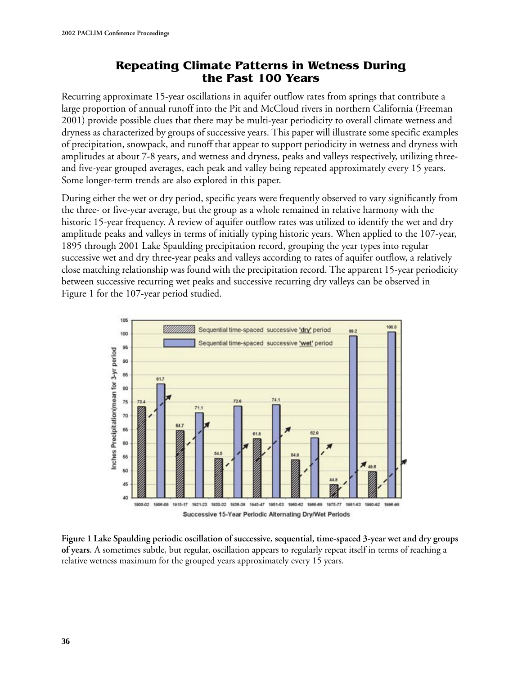# **Repeating Climate Patterns in Wetness During the Past 100 Years**

Recurring approximate 15-year oscillations in aquifer outflow rates from springs that contribute a large proportion of annual runoff into the Pit and McCloud rivers in northern California (Freeman 2001) provide possible clues that there may be multi-year periodicity to overall climate wetness and dryness as characterized by groups of successive years. This paper will illustrate some specific examples of precipitation, snowpack, and runoff that appear to support periodicity in wetness and dryness with amplitudes at about 7-8 years, and wetness and dryness, peaks and valleys respectively, utilizing threeand five-year grouped averages, each peak and valley being repeated approximately every 15 years. Some longer-term trends are also explored in this paper.

During either the wet or dry period, specific years were frequently observed to vary significantly from the three- or five-year average, but the group as a whole remained in relative harmony with the historic 15-year frequency. A review of aquifer outflow rates was utilized to identify the wet and dry amplitude peaks and valleys in terms of initially typing historic years. When applied to the 107-year, 1895 through 2001 Lake Spaulding precipitation record, grouping the year types into regular successive wet and dry three-year peaks and valleys according to rates of aquifer outflow, a relatively close matching relationship was found with the precipitation record. The apparent 15-year periodicity between successive recurring wet peaks and successive recurring dry valleys can be observed in Figure 1 for the 107-year period studied.



**Figure 1 Lake Spaulding periodic oscillation of successive, sequential, time-spaced 3-year wet and dry groups of years.** A sometimes subtle, but regular, oscillation appears to regularly repeat itself in terms of reaching a relative wetness maximum for the grouped years approximately every 15 years.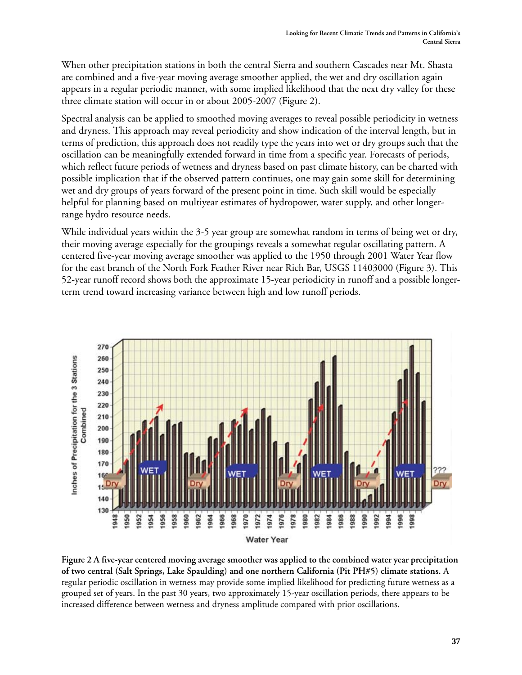When other precipitation stations in both the central Sierra and southern Cascades near Mt. Shasta are combined and a five-year moving average smoother applied, the wet and dry oscillation again appears in a regular periodic manner, with some implied likelihood that the next dry valley for these three climate station will occur in or about 2005-2007 (Figure 2).

Spectral analysis can be applied to smoothed moving averages to reveal possible periodicity in wetness and dryness. This approach may reveal periodicity and show indication of the interval length, but in terms of prediction, this approach does not readily type the years into wet or dry groups such that the oscillation can be meaningfully extended forward in time from a specific year. Forecasts of periods, which reflect future periods of wetness and dryness based on past climate history, can be charted with possible implication that if the observed pattern continues, one may gain some skill for determining wet and dry groups of years forward of the present point in time. Such skill would be especially helpful for planning based on multiyear estimates of hydropower, water supply, and other longerrange hydro resource needs.

While individual years within the 3-5 year group are somewhat random in terms of being wet or dry, their moving average especially for the groupings reveals a somewhat regular oscillating pattern. A centered five-year moving average smoother was applied to the 1950 through 2001 Water Year flow for the east branch of the North Fork Feather River near Rich Bar, USGS 11403000 (Figure 3). This 52-year runoff record shows both the approximate 15-year periodicity in runoff and a possible longerterm trend toward increasing variance between high and low runoff periods.



**Figure 2 A five-year centered moving average smoother was applied to the combined water year precipitation of two central (Salt Springs, Lake Spaulding) and one northern California (Pit PH#5) climate stations.** A regular periodic oscillation in wetness may provide some implied likelihood for predicting future wetness as a grouped set of years. In the past 30 years, two approximately 15-year oscillation periods, there appears to be increased difference between wetness and dryness amplitude compared with prior oscillations.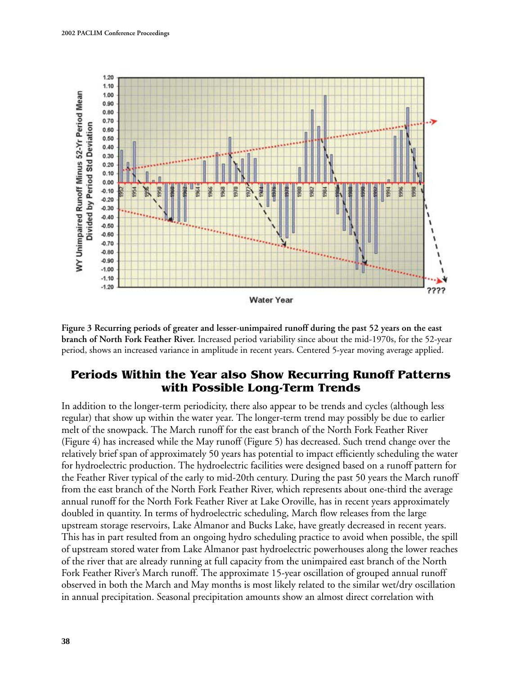

**Figure 3 Recurring periods of greater and lesser-unimpaired runoff during the past 52 years on the east branch of North Fork Feather River.** Increased period variability since about the mid-1970s, for the 52-year period, shows an increased variance in amplitude in recent years. Centered 5-year moving average applied.

#### **Periods Within the Year also Show Recurring Runoff Patterns with Possible Long-Term Trends**

In addition to the longer-term periodicity, there also appear to be trends and cycles (although less regular) that show up within the water year. The longer-term trend may possibly be due to earlier melt of the snowpack. The March runoff for the east branch of the North Fork Feather River (Figure 4) has increased while the May runoff (Figure 5) has decreased. Such trend change over the relatively brief span of approximately 50 years has potential to impact efficiently scheduling the water for hydroelectric production. The hydroelectric facilities were designed based on a runoff pattern for the Feather River typical of the early to mid-20th century. During the past 50 years the March runoff from the east branch of the North Fork Feather River, which represents about one-third the average annual runoff for the North Fork Feather River at Lake Oroville, has in recent years approximately doubled in quantity. In terms of hydroelectric scheduling, March flow releases from the large upstream storage reservoirs, Lake Almanor and Bucks Lake, have greatly decreased in recent years. This has in part resulted from an ongoing hydro scheduling practice to avoid when possible, the spill of upstream stored water from Lake Almanor past hydroelectric powerhouses along the lower reaches of the river that are already running at full capacity from the unimpaired east branch of the North Fork Feather River's March runoff. The approximate 15-year oscillation of grouped annual runoff observed in both the March and May months is most likely related to the similar wet/dry oscillation in annual precipitation. Seasonal precipitation amounts show an almost direct correlation with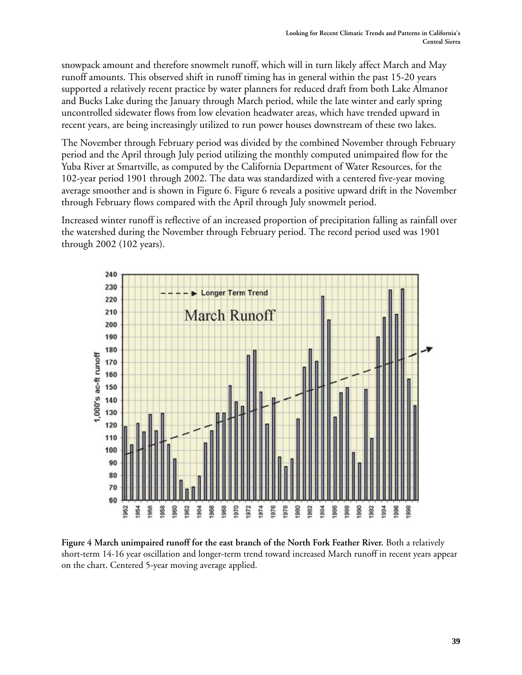snowpack amount and therefore snowmelt runoff, which will in turn likely affect March and May runoff amounts. This observed shift in runoff timing has in general within the past 15-20 years supported a relatively recent practice by water planners for reduced draft from both Lake Almanor and Bucks Lake during the January through March period, while the late winter and early spring uncontrolled sidewater flows from low elevation headwater areas, which have trended upward in recent years, are being increasingly utilized to run power houses downstream of these two lakes.

The November through February period was divided by the combined November through February period and the April through July period utilizing the monthly computed unimpaired flow for the Yuba River at Smartville, as computed by the California Department of Water Resources, for the 102-year period 1901 through 2002. The data was standardized with a centered five-year moving average smoother and is shown in Figure 6. Figure 6 reveals a positive upward drift in the November through February flows compared with the April through July snowmelt period.

Increased winter runoff is reflective of an increased proportion of precipitation falling as rainfall over the watershed during the November through February period. The record period used was 1901 through 2002 (102 years).



**Figure 4 March unimpaired runoff for the east branch of the North Fork Feather River.** Both a relatively short-term 14-16 year oscillation and longer-term trend toward increased March runoff in recent years appear on the chart. Centered 5-year moving average applied.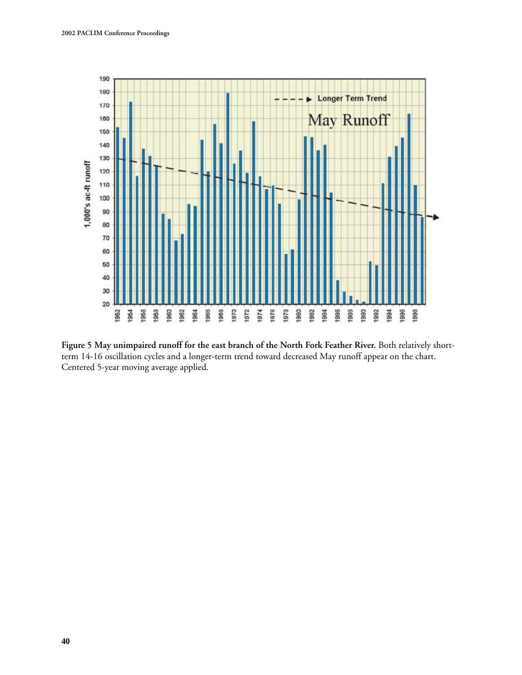

**Figure 5 May unimpaired runoff for the east branch of the North Fork Feather River.** Both relatively shortterm 14-16 oscillation cycles and a longer-term trend toward decreased May runoff appear on the chart. Centered 5-year moving average applied.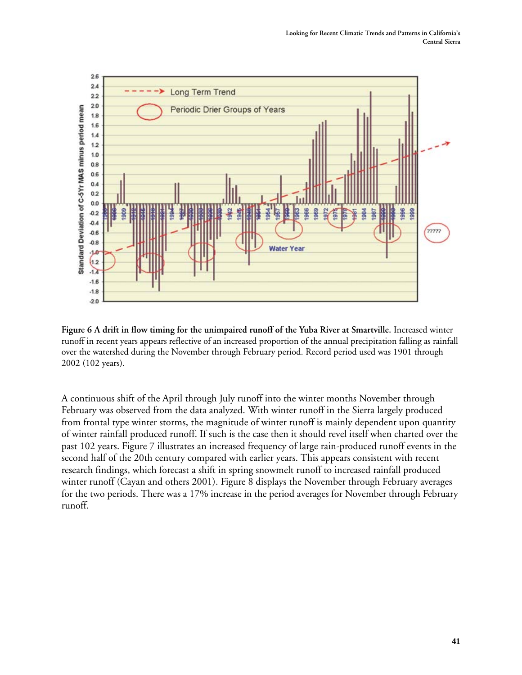

**Figure 6 A drift in flow timing for the unimpaired runoff of the Yuba River at Smartville.** Increased winter runoff in recent years appears reflective of an increased proportion of the annual precipitation falling as rainfall over the watershed during the November through February period. Record period used was 1901 through 2002 (102 years).

A continuous shift of the April through July runoff into the winter months November through February was observed from the data analyzed. With winter runoff in the Sierra largely produced from frontal type winter storms, the magnitude of winter runoff is mainly dependent upon quantity of winter rainfall produced runoff. If such is the case then it should revel itself when charted over the past 102 years. Figure 7 illustrates an increased frequency of large rain-produced runoff events in the second half of the 20th century compared with earlier years. This appears consistent with recent research findings, which forecast a shift in spring snowmelt runoff to increased rainfall produced winter runoff (Cayan and others 2001). Figure 8 displays the November through February averages for the two periods. There was a 17% increase in the period averages for November through February runoff.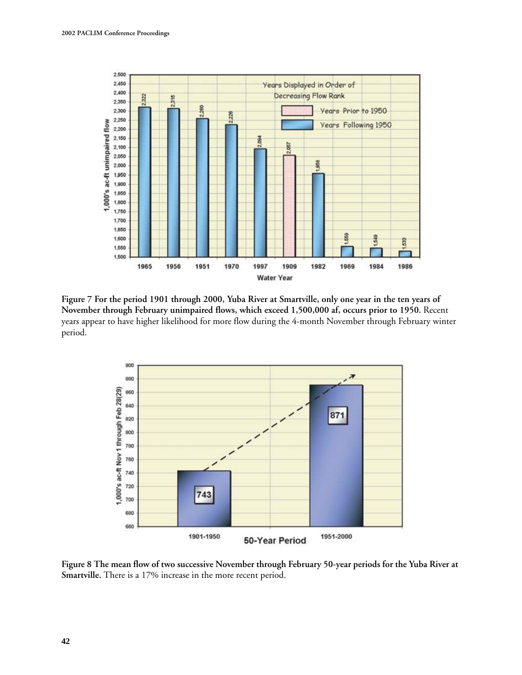

**Figure 7 For the period 1901 through 2000, Yuba River at Smartville, only one year in the ten years of November through February unimpaired flows, which exceed 1,500,000 af, occurs prior to 1950.** Recent years appear to have higher likelihood for more flow during the 4-month November through February winter period.



**Figure 8 The mean flow of two successive November through February 50-year periods for the Yuba River at Smartville.** There is a 17% increase in the more recent period.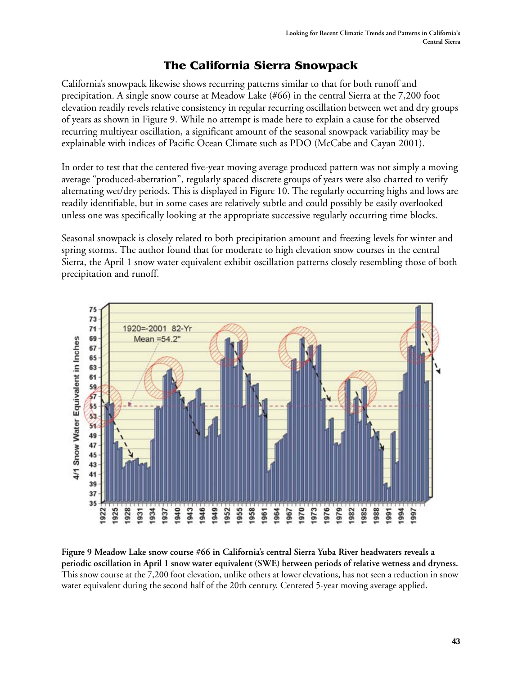# **The California Sierra Snowpack**

California's snowpack likewise shows recurring patterns similar to that for both runoff and precipitation. A single snow course at Meadow Lake (#66) in the central Sierra at the 7,200 foot elevation readily revels relative consistency in regular recurring oscillation between wet and dry groups of years as shown in Figure 9. While no attempt is made here to explain a cause for the observed recurring multiyear oscillation, a significant amount of the seasonal snowpack variability may be explainable with indices of Pacific Ocean Climate such as PDO (McCabe and Cayan 2001).

In order to test that the centered five-year moving average produced pattern was not simply a moving average "produced-aberration", regularly spaced discrete groups of years were also charted to verify alternating wet/dry periods. This is displayed in Figure 10. The regularly occurring highs and lows are readily identifiable, but in some cases are relatively subtle and could possibly be easily overlooked unless one was specifically looking at the appropriate successive regularly occurring time blocks.

Seasonal snowpack is closely related to both precipitation amount and freezing levels for winter and spring storms. The author found that for moderate to high elevation snow courses in the central Sierra, the April 1 snow water equivalent exhibit oscillation patterns closely resembling those of both precipitation and runoff.



**Figure 9 Meadow Lake snow course #66 in California's central Sierra Yuba River headwaters reveals a periodic oscillation in April 1 snow water equivalent (SWE) between periods of relative wetness and dryness.**  This snow course at the 7,200 foot elevation, unlike others at lower elevations, has not seen a reduction in snow water equivalent during the second half of the 20th century. Centered 5-year moving average applied.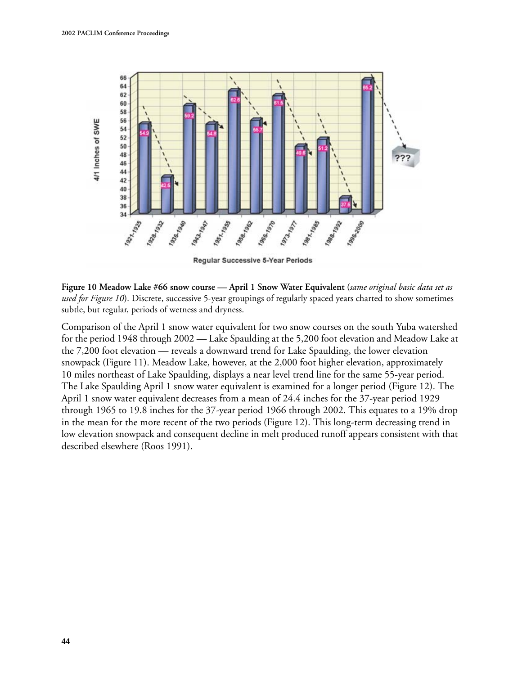

**Figure 10 Meadow Lake #66 snow course — April 1 Snow Water Equivalent (***same original basic data set as used for Figure 10***)**. Discrete, successive 5-year groupings of regularly spaced years charted to show sometimes subtle, but regular, periods of wetness and dryness.

Comparison of the April 1 snow water equivalent for two snow courses on the south Yuba watershed for the period 1948 through 2002 — Lake Spaulding at the 5,200 foot elevation and Meadow Lake at the 7,200 foot elevation — reveals a downward trend for Lake Spaulding, the lower elevation snowpack (Figure 11). Meadow Lake, however, at the 2,000 foot higher elevation, approximately 10 miles northeast of Lake Spaulding, displays a near level trend line for the same 55-year period. The Lake Spaulding April 1 snow water equivalent is examined for a longer period (Figure 12). The April 1 snow water equivalent decreases from a mean of 24.4 inches for the 37-year period 1929 through 1965 to 19.8 inches for the 37-year period 1966 through 2002. This equates to a 19% drop in the mean for the more recent of the two periods (Figure 12). This long-term decreasing trend in low elevation snowpack and consequent decline in melt produced runoff appears consistent with that described elsewhere (Roos 1991).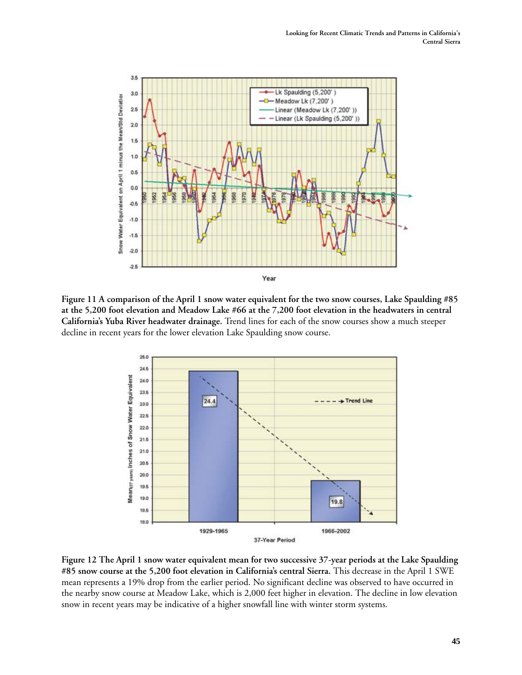

**Figure 11 A comparison of the April 1 snow water equivalent for the two snow courses, Lake Spaulding #85 at the 5,200 foot elevation and Meadow Lake #66 at the 7,200 foot elevation in the headwaters in central California's Yuba River headwater drainage.** Trend lines for each of the snow courses show a much steeper decline in recent years for the lower elevation Lake Spaulding snow course.



**Figure 12 The April 1 snow water equivalent mean for two successive 37-year periods at the Lake Spaulding #85 snow course at the 5,200 foot elevation in California's central Sierra.** This decrease in the April 1 SWE mean represents a 19% drop from the earlier period. No significant decline was observed to have occurred in the nearby snow course at Meadow Lake, which is 2,000 feet higher in elevation. The decline in low elevation snow in recent years may be indicative of a higher snowfall line with winter storm systems.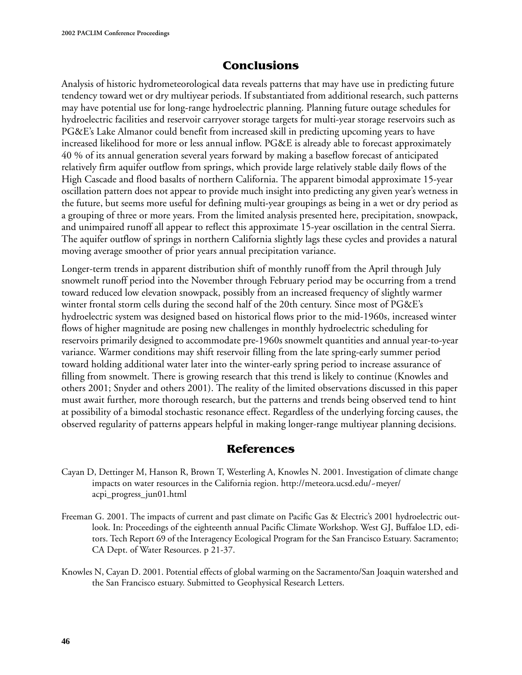# **Conclusions**

Analysis of historic hydrometeorological data reveals patterns that may have use in predicting future tendency toward wet or dry multiyear periods. If substantiated from additional research, such patterns may have potential use for long-range hydroelectric planning. Planning future outage schedules for hydroelectric facilities and reservoir carryover storage targets for multi-year storage reservoirs such as PG&E's Lake Almanor could benefit from increased skill in predicting upcoming years to have increased likelihood for more or less annual inflow. PG&E is already able to forecast approximately 40 % of its annual generation several years forward by making a baseflow forecast of anticipated relatively firm aquifer outflow from springs, which provide large relatively stable daily flows of the High Cascade and flood basalts of northern California. The apparent bimodal approximate 15-year oscillation pattern does not appear to provide much insight into predicting any given year's wetness in the future, but seems more useful for defining multi-year groupings as being in a wet or dry period as a grouping of three or more years. From the limited analysis presented here, precipitation, snowpack, and unimpaired runoff all appear to reflect this approximate 15-year oscillation in the central Sierra. The aquifer outflow of springs in northern California slightly lags these cycles and provides a natural moving average smoother of prior years annual precipitation variance.

Longer-term trends in apparent distribution shift of monthly runoff from the April through July snowmelt runoff period into the November through February period may be occurring from a trend toward reduced low elevation snowpack, possibly from an increased frequency of slightly warmer winter frontal storm cells during the second half of the 20th century. Since most of PG&E's hydroelectric system was designed based on historical flows prior to the mid-1960s, increased winter flows of higher magnitude are posing new challenges in monthly hydroelectric scheduling for reservoirs primarily designed to accommodate pre-1960s snowmelt quantities and annual year-to-year variance. Warmer conditions may shift reservoir filling from the late spring-early summer period toward holding additional water later into the winter-early spring period to increase assurance of filling from snowmelt. There is growing research that this trend is likely to continue (Knowles and others 2001; Snyder and others 2001). The reality of the limited observations discussed in this paper must await further, more thorough research, but the patterns and trends being observed tend to hint at possibility of a bimodal stochastic resonance effect. Regardless of the underlying forcing causes, the observed regularity of patterns appears helpful in making longer-range multiyear planning decisions.

## **References**

- Cayan D, Dettinger M, Hanson R, Brown T, Westerling A, Knowles N. 2001. Investigation of climate change impacts on water resources in the California region. http://meteora.ucsd.edu/~meyer/ acpi\_progress\_jun01.html
- Freeman G. 2001. The impacts of current and past climate on Pacific Gas & Electric's 2001 hydroelectric outlook. In: Proceedings of the eighteenth annual Pacific Climate Workshop. West GJ, Buffaloe LD, editors. Tech Report 69 of the Interagency Ecological Program for the San Francisco Estuary. Sacramento; CA Dept. of Water Resources. p 21-37.
- Knowles N, Cayan D. 2001. Potential effects of global warming on the Sacramento/San Joaquin watershed and the San Francisco estuary. Submitted to Geophysical Research Letters.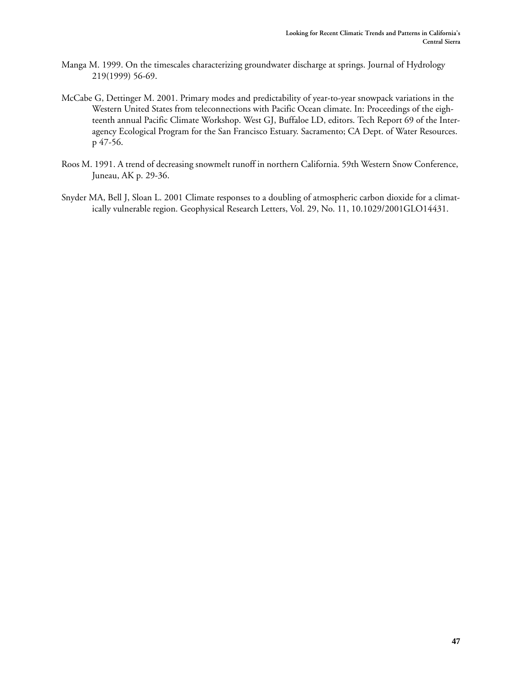- Manga M. 1999. On the timescales characterizing groundwater discharge at springs. Journal of Hydrology 219(1999) 56-69.
- McCabe G, Dettinger M. 2001. Primary modes and predictability of year-to-year snowpack variations in the Western United States from teleconnections with Pacific Ocean climate. In: Proceedings of the eighteenth annual Pacific Climate Workshop. West GJ, Buffaloe LD, editors. Tech Report 69 of the Interagency Ecological Program for the San Francisco Estuary. Sacramento; CA Dept. of Water Resources. p 47-56.
- Roos M. 1991. A trend of decreasing snowmelt runoff in northern California. 59th Western Snow Conference, Juneau, AK p. 29-36.
- Snyder MA, Bell J, Sloan L. 2001 Climate responses to a doubling of atmospheric carbon dioxide for a climatically vulnerable region. Geophysical Research Letters, Vol. 29, No. 11, 10.1029/2001GLO14431.